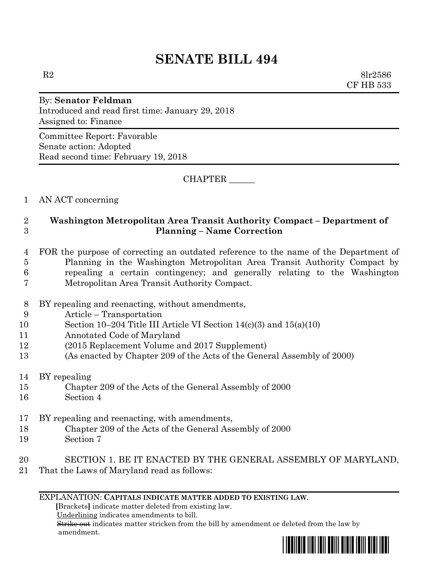# **SENATE BILL 494**

 $R2 \t\t 8lr2586$ CF HB 533

## By: **Senator Feldman** Introduced and read first time: January 29, 2018 Assigned to: Finance

Committee Report: Favorable Senate action: Adopted Read second time: February 19, 2018

CHAPTER \_\_\_\_\_\_

1 AN ACT concerning

### 2 **Washington Metropolitan Area Transit Authority Compact – Department of**  3 **Planning – Name Correction**

#### 4 FOR the purpose of correcting an outdated reference to the name of the Department of 5 Planning in the Washington Metropolitan Area Transit Authority Compact by 6 repealing a certain contingency; and generally relating to the Washington 7 Metropolitan Area Transit Authority Compact.

- 8 BY repealing and reenacting, without amendments,
- 9 Article Transportation
- 10 Section 10–204 Title III Article VI Section 14(c)(3) and 15(a)(10)
- 11 Annotated Code of Maryland
- 12 (2015 Replacement Volume and 2017 Supplement)
- 13 (As enacted by Chapter 209 of the Acts of the General Assembly of 2000)
- 14 BY repealing
- 15 Chapter 209 of the Acts of the General Assembly of 2000
- 16 Section 4
- 17 BY repealing and reenacting, with amendments,
- 18 Chapter 209 of the Acts of the General Assembly of 2000
- 19 Section 7
- 20 SECTION 1. BE IT ENACTED BY THE GENERAL ASSEMBLY OF MARYLAND,
- 21 That the Laws of Maryland read as follows:

#### EXPLANATION: **CAPITALS INDICATE MATTER ADDED TO EXISTING LAW**.

 **[**Brackets**]** indicate matter deleted from existing law.

Underlining indicates amendments to bill.

 Strike out indicates matter stricken from the bill by amendment or deleted from the law by amendment.

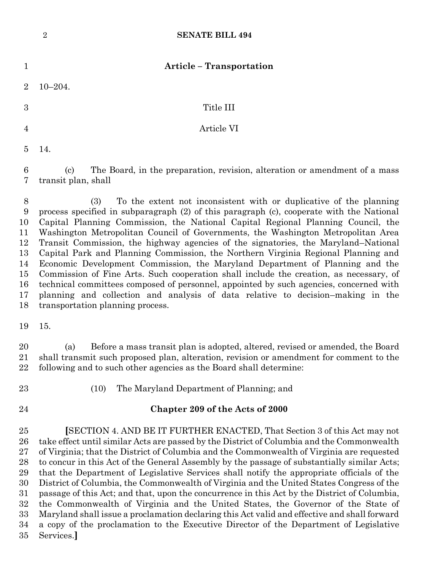|                                                                             | $\overline{2}$<br><b>SENATE BILL 494</b>                                                                                                                                                                                                                                                                                                                                                                                                                                                                                                                                                                                                                                                                                                                                                                                                                                                                            |
|-----------------------------------------------------------------------------|---------------------------------------------------------------------------------------------------------------------------------------------------------------------------------------------------------------------------------------------------------------------------------------------------------------------------------------------------------------------------------------------------------------------------------------------------------------------------------------------------------------------------------------------------------------------------------------------------------------------------------------------------------------------------------------------------------------------------------------------------------------------------------------------------------------------------------------------------------------------------------------------------------------------|
| 1                                                                           | <b>Article - Transportation</b>                                                                                                                                                                                                                                                                                                                                                                                                                                                                                                                                                                                                                                                                                                                                                                                                                                                                                     |
| $\overline{2}$                                                              | $10 - 204.$                                                                                                                                                                                                                                                                                                                                                                                                                                                                                                                                                                                                                                                                                                                                                                                                                                                                                                         |
| 3                                                                           | Title III                                                                                                                                                                                                                                                                                                                                                                                                                                                                                                                                                                                                                                                                                                                                                                                                                                                                                                           |
| $\overline{4}$                                                              | Article VI                                                                                                                                                                                                                                                                                                                                                                                                                                                                                                                                                                                                                                                                                                                                                                                                                                                                                                          |
| 5                                                                           | 14.                                                                                                                                                                                                                                                                                                                                                                                                                                                                                                                                                                                                                                                                                                                                                                                                                                                                                                                 |
| 6<br>7                                                                      | The Board, in the preparation, revision, alteration or amendment of a mass<br>$\left( \mathrm{c}\right)$<br>transit plan, shall                                                                                                                                                                                                                                                                                                                                                                                                                                                                                                                                                                                                                                                                                                                                                                                     |
| $\boldsymbol{8}$<br>9<br>10<br>11<br>12<br>13<br>14<br>15<br>16<br>17<br>18 | To the extent not inconsistent with or duplicative of the planning<br>(3)<br>process specified in subparagraph (2) of this paragraph (c), cooperate with the National<br>Capital Planning Commission, the National Capital Regional Planning Council, the<br>Washington Metropolitan Council of Governments, the Washington Metropolitan Area<br>Transit Commission, the highway agencies of the signatories, the Maryland–National<br>Capital Park and Planning Commission, the Northern Virginia Regional Planning and<br>Economic Development Commission, the Maryland Department of Planning and the<br>Commission of Fine Arts. Such cooperation shall include the creation, as necessary, of<br>technical committees composed of personnel, appointed by such agencies, concerned with<br>planning and collection and analysis of data relative to decision-making in the<br>transportation planning process. |
| 19                                                                          | 15.                                                                                                                                                                                                                                                                                                                                                                                                                                                                                                                                                                                                                                                                                                                                                                                                                                                                                                                 |
| 20<br>21<br>22                                                              | Before a mass transit plan is adopted, altered, revised or amended, the Board<br>(a)<br>shall transmit such proposed plan, alteration, revision or amendment for comment to the<br>following and to such other agencies as the Board shall determine:                                                                                                                                                                                                                                                                                                                                                                                                                                                                                                                                                                                                                                                               |

- 
- (10) The Maryland Department of Planning; and
- 

#### **Chapter 209 of the Acts of 2000**

 **[**SECTION 4. AND BE IT FURTHER ENACTED, That Section 3 of this Act may not take effect until similar Acts are passed by the District of Columbia and the Commonwealth of Virginia; that the District of Columbia and the Commonwealth of Virginia are requested to concur in this Act of the General Assembly by the passage of substantially similar Acts; that the Department of Legislative Services shall notify the appropriate officials of the District of Columbia, the Commonwealth of Virginia and the United States Congress of the passage of this Act; and that, upon the concurrence in this Act by the District of Columbia, the Commonwealth of Virginia and the United States, the Governor of the State of Maryland shall issue a proclamation declaring this Act valid and effective and shall forward a copy of the proclamation to the Executive Director of the Department of Legislative Services.**]**